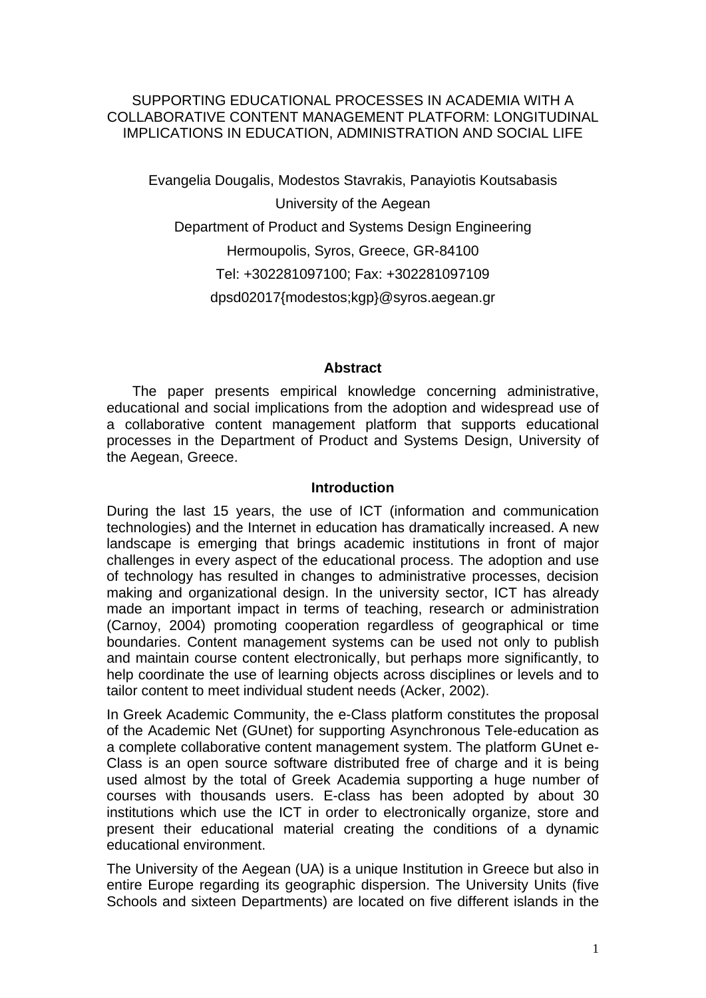## SUPPORTING EDUCATIONAL PROCESSES IN ACADEMIA WITH A COLLABORATIVE CONTENT MANAGEMENT PLATFORM: LONGITUDINAL IMPLICATIONS IN EDUCATION, ADMINISTRATION AND SOCIAL LIFE

Evangelia Dougalis, Modestos Stavrakis, Panayiotis Koutsabasis University of the Aegean Department of Product and Systems Design Engineering Hermoupolis, Syros, Greece, GR-84100 Tel: +302281097100; Fax: +302281097109 dpsd02017{modestos;kgp}@syros.aegean.gr

#### **Abstract**

The paper presents empirical knowledge concerning administrative, educational and social implications from the adoption and widespread use of a collaborative content management platform that supports educational processes in the Department of Product and Systems Design, University of the Aegean, Greece.

#### **Introduction**

During the last 15 years, the use of ICT (information and communication technologies) and the Internet in education has dramatically increased. A new landscape is emerging that brings academic institutions in front of major challenges in every aspect of the educational process. The adoption and use of technology has resulted in changes to administrative processes, decision making and organizational design. In the university sector, ICT has already made an important impact in terms of teaching, research or administration (Carnoy, 2004) promoting cooperation regardless of geographical or time boundaries. Content management systems can be used not only to publish and maintain course content electronically, but perhaps more significantly, to help coordinate the use of learning objects across disciplines or levels and to tailor content to meet individual student needs (Acker, 2002).

In Greek Academic Community, the e-Class platform constitutes the proposal of the Academic Net (GUnet) for supporting Asynchronous Tele-education as a complete collaborative content management system. The platform GUnet e-Class is an open source software distributed free of charge and it is being used almost by the total of Greek Academia supporting a huge number of courses with thousands users. E-class has been adopted by about 30 institutions which use the ICT in order to electronically organize, store and present their educational material creating the conditions of a dynamic educational environment.

The University of the Aegean (UA) is a unique Institution in Greece but also in entire Europe regarding its geographic dispersion. The University Units (five Schools and sixteen Departments) are located on five different islands in the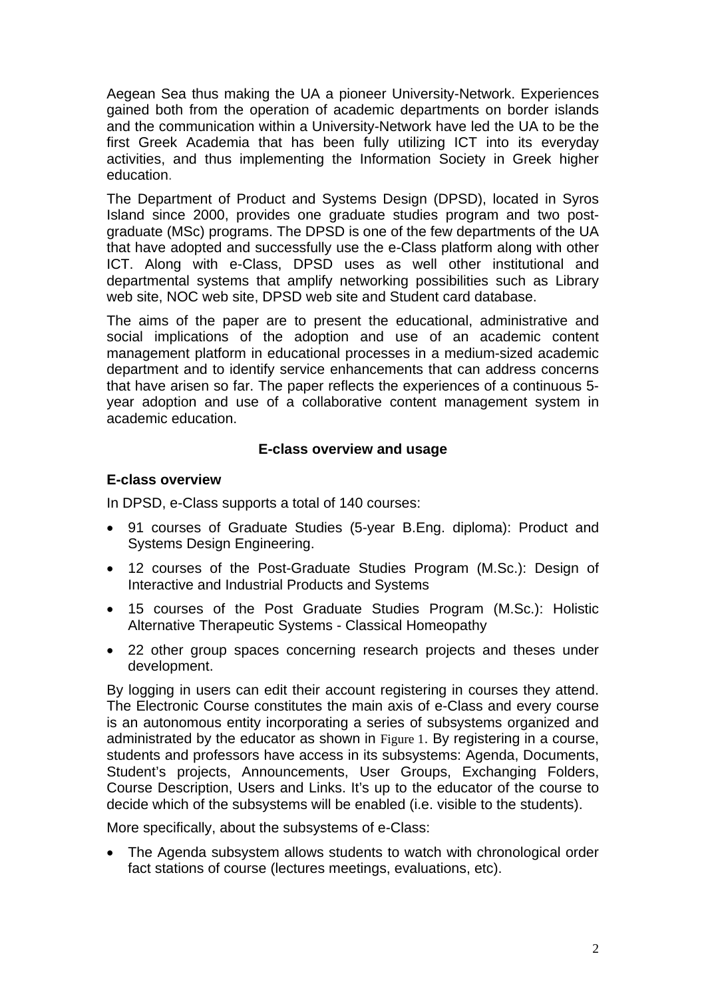Aegean Sea thus making the UA a pioneer University-Network. Experiences gained both from the operation of academic departments on border islands and the communication within a University-Network have led the UA to be the first Greek Academia that has been fully utilizing ICT into its everyday activities, and thus implementing the Information Society in Greek higher education.

The Department of Product and Systems Design (DPSD), located in Syros Island since 2000, provides one graduate studies program and two postgraduate (MSc) programs. The DPSD is one of the few departments of the UA that have adopted and successfully use the e-Class platform along with other ICT. Along with e-Class, DPSD uses as well other institutional and departmental systems that amplify networking possibilities such as Library web site, NOC web site, DPSD web site and Student card database.

The aims of the paper are to present the educational, administrative and social implications of the adoption and use of an academic content management platform in educational processes in a medium-sized academic department and to identify service enhancements that can address concerns that have arisen so far. The paper reflects the experiences of a continuous 5 year adoption and use of a collaborative content management system in academic education.

## **E-class overview and usage**

## **E-class overview**

In DPSD, e-Class supports a total of 140 courses:

- 91 courses of Graduate Studies (5-year B.Eng. diploma): Product and Systems Design Engineering.
- 12 courses of the Post-Graduate Studies Program (M.Sc.): Design of Interactive and Industrial Products and Systems
- 15 courses of the Post Graduate Studies Program (M.Sc.): Holistic Alternative Therapeutic Systems - Classical Homeopathy
- 22 other group spaces concerning research projects and theses under development.

By logging in users can edit their account registering in courses they attend. The Electronic Course constitutes the main axis of e-Class and every course is an autonomous entity incorporating a series of subsystems organized and administrated by the educator as shown in Figure 1. By registering in a course, students and professors have access in its subsystems: Agenda, Documents, Student's projects, Announcements, User Groups, Exchanging Folders, Course Description, Users and Links. It's up to the educator of the course to decide which of the subsystems will be enabled (i.e. visible to the students).

More specifically, about the subsystems of e-Class:

• The Agenda subsystem allows students to watch with chronological order fact stations of course (lectures meetings, evaluations, etc).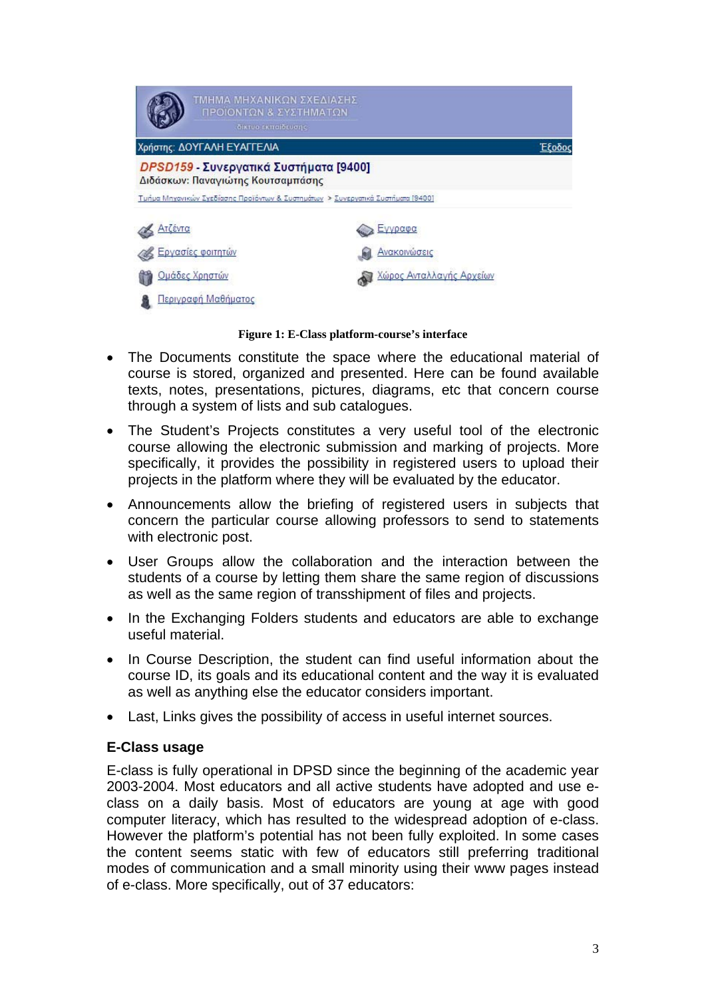| ΤΜΗΜΑ ΜΗΧΑΝΙΚΩΝ ΣΧΕΔΙΑΣΗΣ<br>ΠΡΟΙΟΝΤΩΝ & ΣΥΣΤΗΜΑΤΩΝ                             |                          |
|---------------------------------------------------------------------------------|--------------------------|
| δίκτυο εκπαίδευσης<br>Χρήστης: ΔΟΥΓΑΛΗ ΕΥΑΓΓΕΛΙΑ<br>Έξοδοι                      |                          |
| DPSD159 - Συνεργατικά Συστήματα [9400]<br>Διδάσκων: Παναγιώτης Κουτσαμπάσης     |                          |
| Τμήμα Μηχανικών Σχεδίασης Προϊόντων & Συστημάτων > Συνεργατικά Συστήματα (9400) |                          |
| Ατζέντα                                                                         | Εγγραφα                  |
| Εργασίες φοιτητών                                                               | Ανακοινώσεις             |
| Ομάδες Χρηστών                                                                  | Χώρος Ανταλλαγής Αρχείων |
| Περιγραφή Μαθήματος                                                             |                          |

**Figure 1: E-Class platform-course's interface** 

- The Documents constitute the space where the educational material of course is stored, organized and presented. Here can be found available texts, notes, presentations, pictures, diagrams, etc that concern course through a system of lists and sub catalogues.
- The Student's Projects constitutes a very useful tool of the electronic course allowing the electronic submission and marking of projects. More specifically, it provides the possibility in registered users to upload their projects in the platform where they will be evaluated by the educator.
- Announcements allow the briefing of registered users in subjects that concern the particular course allowing professors to send to statements with electronic post.
- User Groups allow the collaboration and the interaction between the students of a course by letting them share the same region of discussions as well as the same region of transshipment of files and projects.
- In the Exchanging Folders students and educators are able to exchange useful material.
- In Course Description, the student can find useful information about the course ID, its goals and its educational content and the way it is evaluated as well as anything else the educator considers important.
- Last, Links gives the possibility of access in useful internet sources.

## **E-Class usage**

E-class is fully operational in DPSD since the beginning of the academic year 2003-2004. Most educators and all active students have adopted and use eclass on a daily basis. Most of educators are young at age with good computer literacy, which has resulted to the widespread adoption of e-class. However the platform's potential has not been fully exploited. In some cases the content seems static with few of educators still preferring traditional modes of communication and a small minority using their www pages instead of e-class. More specifically, out of 37 educators: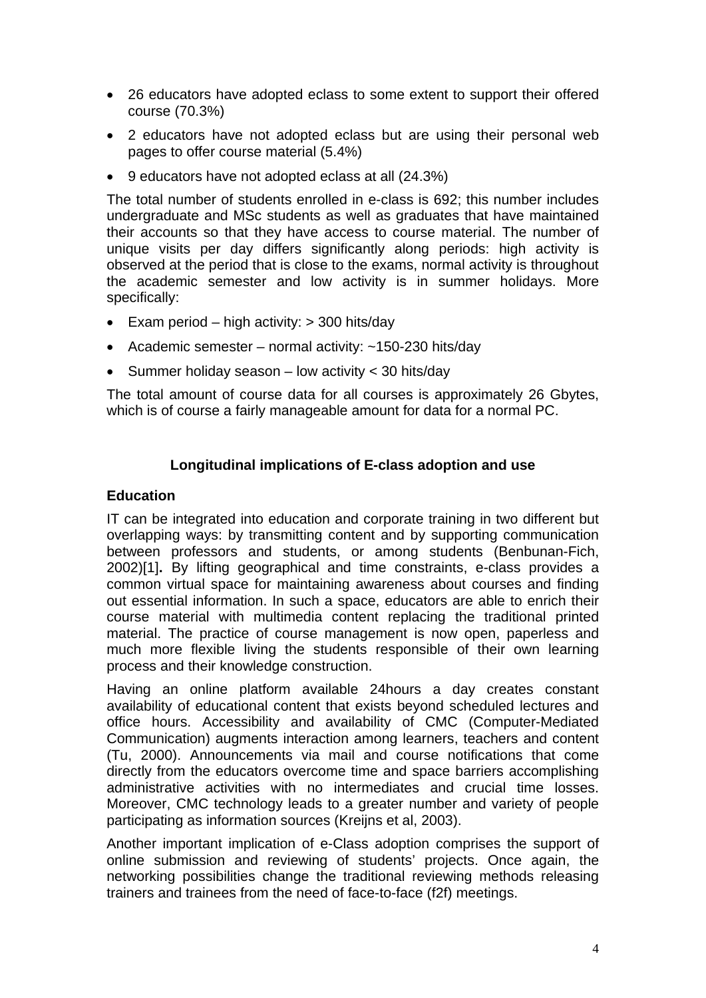- 26 educators have adopted eclass to some extent to support their offered course (70.3%)
- 2 educators have not adopted eclass but are using their personal web pages to offer course material (5.4%)
- 9 educators have not adopted eclass at all (24.3%)

The total number of students enrolled in e-class is 692; this number includes undergraduate and MSc students as well as graduates that have maintained their accounts so that they have access to course material. The number of unique visits per day differs significantly along periods: high activity is observed at the period that is close to the exams, normal activity is throughout the academic semester and low activity is in summer holidays. More specifically:

- Exam period high activity: > 300 hits/day
- Academic semester normal activity: ~150-230 hits/day
- Summer holiday season low activity < 30 hits/day

The total amount of course data for all courses is approximately 26 Gbytes, which is of course a fairly manageable amount for data for a normal PC.

# **Longitudinal implications of E-class adoption and use**

## **Education**

IT can be integrated into education and corporate training in two different but overlapping ways: by transmitting content and by supporting communication between professors and students, or among students (Benbunan-Fich, 2002)[1]**.** By lifting geographical and time constraints, e-class provides a common virtual space for maintaining awareness about courses and finding out essential information. In such a space, educators are able to enrich their course material with multimedia content replacing the traditional printed material. The practice of course management is now open, paperless and much more flexible living the students responsible of their own learning process and their knowledge construction.

Having an online platform available 24hours a day creates constant availability of educational content that exists beyond scheduled lectures and office hours. Accessibility and availability of CMC (Computer-Mediated Communication) augments interaction among learners, teachers and content (Tu, 2000). Announcements via mail and course notifications that come directly from the educators overcome time and space barriers accomplishing administrative activities with no intermediates and crucial time losses. Moreover, CMC technology leads to a greater number and variety of people participating as information sources (Kreijns et al, 2003).

Another important implication of e-Class adoption comprises the support of online submission and reviewing of students' projects. Once again, the networking possibilities change the traditional reviewing methods releasing trainers and trainees from the need of face-to-face (f2f) meetings.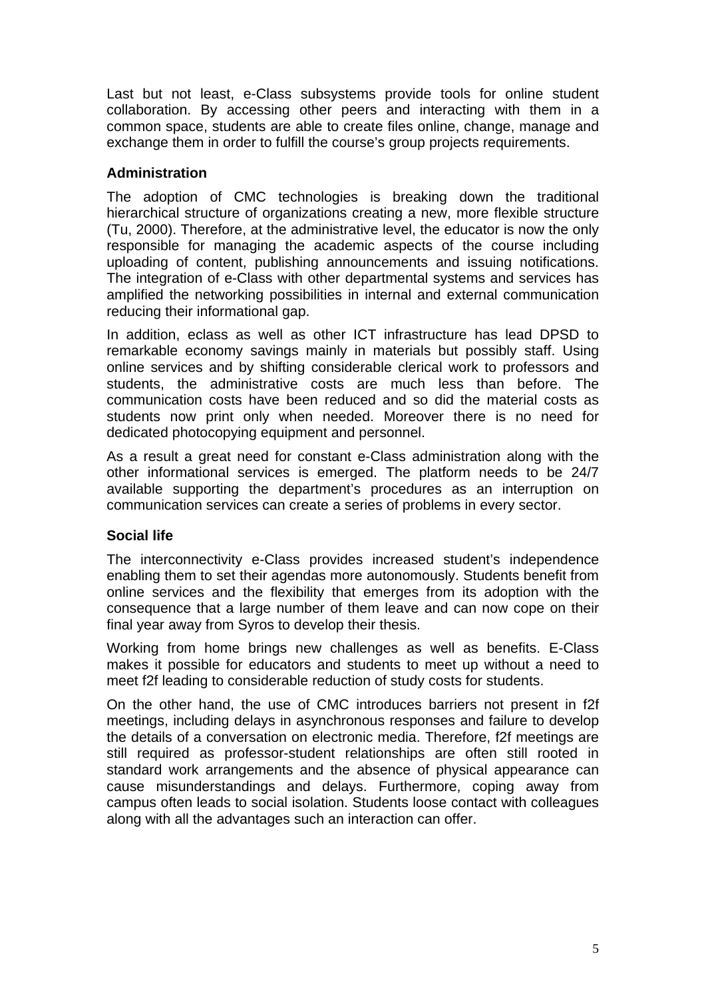Last but not least, e-Class subsystems provide tools for online student collaboration. By accessing other peers and interacting with them in a common space, students are able to create files online, change, manage and exchange them in order to fulfill the course's group projects requirements.

## **Administration**

The adoption of CMC technologies is breaking down the traditional hierarchical structure of organizations creating a new, more flexible structure (Tu, 2000). Therefore, at the administrative level, the educator is now the only responsible for managing the academic aspects of the course including uploading of content, publishing announcements and issuing notifications. The integration of e-Class with other departmental systems and services has amplified the networking possibilities in internal and external communication reducing their informational gap.

In addition, eclass as well as other ICT infrastructure has lead DPSD to remarkable economy savings mainly in materials but possibly staff. Using online services and by shifting considerable clerical work to professors and students, the administrative costs are much less than before. The communication costs have been reduced and so did the material costs as students now print only when needed. Moreover there is no need for dedicated photocopying equipment and personnel.

As a result a great need for constant e-Class administration along with the other informational services is emerged. The platform needs to be 24/7 available supporting the department's procedures as an interruption on communication services can create a series of problems in every sector.

# **Social life**

The interconnectivity e-Class provides increased student's independence enabling them to set their agendas more autonomously. Students benefit from online services and the flexibility that emerges from its adoption with the consequence that a large number of them leave and can now cope on their final year away from Syros to develop their thesis.

Working from home brings new challenges as well as benefits. E-Class makes it possible for educators and students to meet up without a need to meet f2f leading to considerable reduction of study costs for students.

On the other hand, the use of CMC introduces barriers not present in f2f meetings, including delays in asynchronous responses and failure to develop the details of a conversation on electronic media. Therefore, f2f meetings are still required as professor-student relationships are often still rooted in standard work arrangements and the absence of physical appearance can cause misunderstandings and delays. Furthermore, coping away from campus often leads to social isolation. Students loose contact with colleagues along with all the advantages such an interaction can offer.